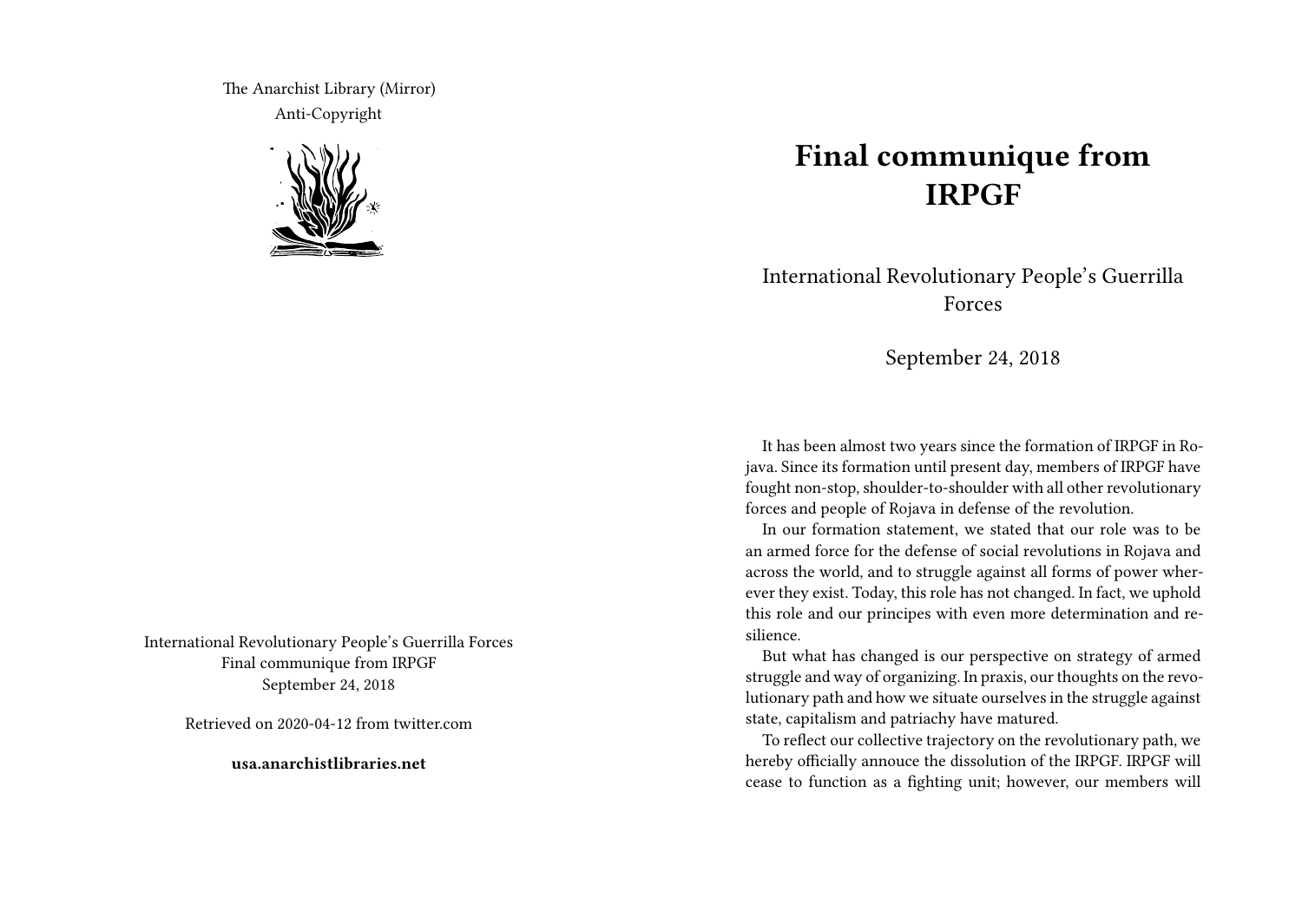The Anarchist Library (Mirror) Anti-Copyright



International Revolutionary People's Guerrilla Forces Final communique from IRPGF September 24, 2018

Retrieved on 2020-04-12 from twitter.com

**usa.anarchistlibraries.net**

## **Final communique from IRPGF**

International Revolutionary People's Guerrilla Forces

September 24, 2018

It has been almost two years since the formation of IRPGF in Rojava. Since its formation until present day, members of IRPGF have fought non-stop, shoulder-to-shoulder with all other revolutionary forces and people of Rojava in defense of the revolution.

In our formation statement, we stated that our role was to be an armed force for the defense of social revolutions in Rojava and across the world, and to struggle against all forms of power wherever they exist. Today, this role has not changed. In fact, we uphold this role and our principes with even more determination and resilience.

But what has changed is our perspective on strategy of armed struggle and way of organizing. In praxis, our thoughts on the revolutionary path and how we situate ourselves in the struggle against state, capitalism and patriachy have matured.

To reflect our collective trajectory on the revolutionary path, we hereby officially annouce the dissolution of the IRPGF. IRPGF will cease to function as a fighting unit; however, our members will